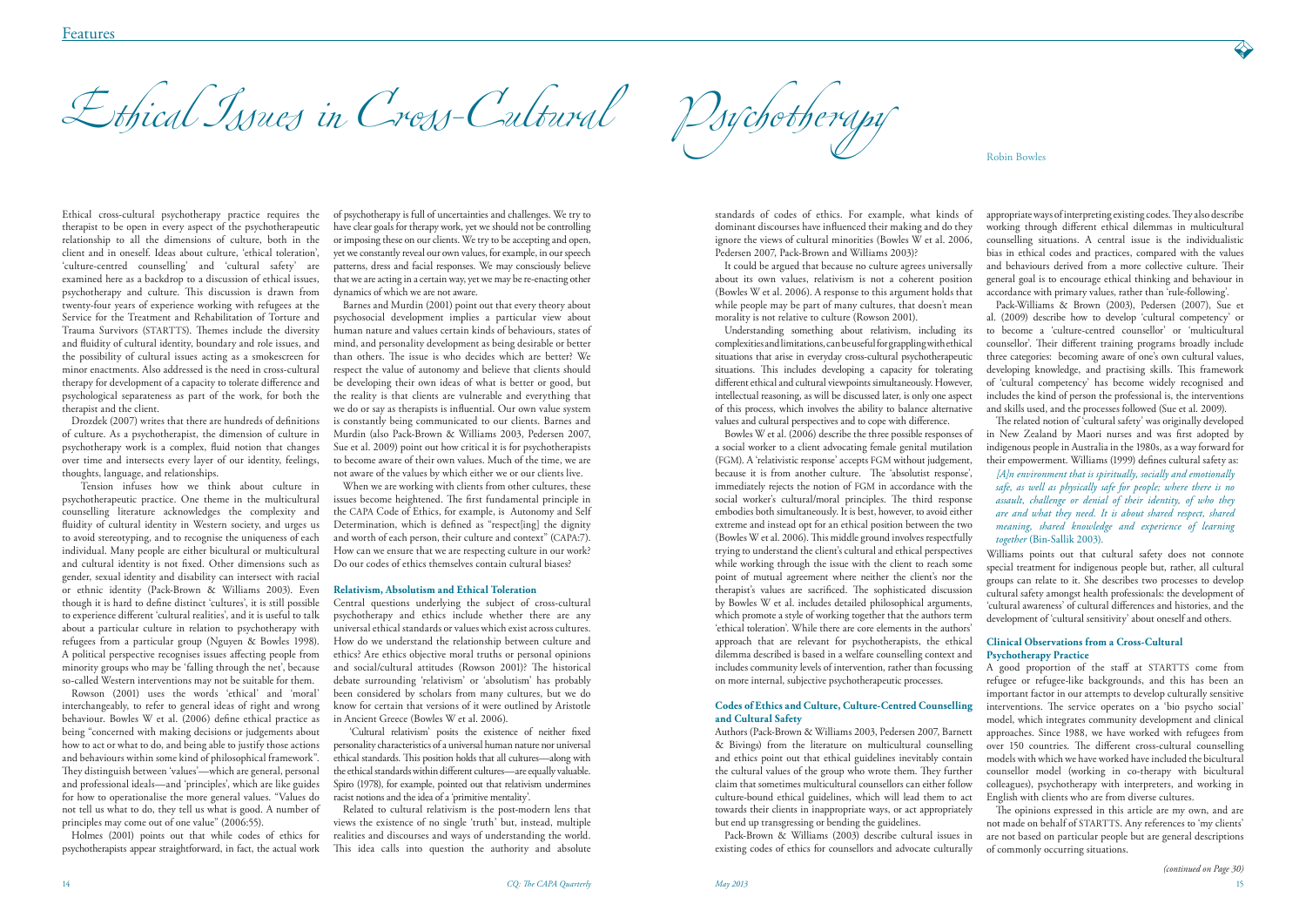Ethical Issues in Cross-Cultural Psychotherapy

Ethical cross-cultural psychotherapy practice requires the therapist to be open in every aspect of the psychotherapeutic relationship to all the dimensions of culture, both in the client and in oneself. Ideas about culture, 'ethical toleration', 'culture-centred counselling' and 'cultural safety' are examined here as a backdrop to a discussion of ethical issues, psychotherapy and culture. This discussion is drawn from twenty-four years of experience working with refugees at the Service for the Treatment and Rehabilitation of Torture and Trauma Survivors (STARTTS). Themes include the diversity and fluidity of cultural identity, boundary and role issues, and the possibility of cultural issues acting as a smokescreen for minor enactments. Also addressed is the need in cross-cultural therapy for development of a capacity to tolerate difference and psychological separateness as part of the work, for both the therapist and the client.

Drozdek (2007) writes that there are hundreds of definitions of culture. As a psychotherapist, the dimension of culture in psychotherapy work is a complex, fluid notion that changes over time and intersects every layer of our identity, feelings, thoughts, language, and relationships.

 Tension infuses how we think about culture in psychotherapeutic practice. One theme in the multicultural counselling literature acknowledges the complexity and fluidity of cultural identity in Western society, and urges us to avoid stereotyping, and to recognise the uniqueness of each individual. Many people are either bicultural or multicultural and cultural identity is not fixed. Other dimensions such as gender, sexual identity and disability can intersect with racial or ethnic identity (Pack-Brown & Williams 2003). Even though it is hard to define distinct 'cultures', it is still possible to experience different 'cultural realities', and it is useful to talk about a particular culture in relation to psychotherapy with refugees from a particular group (Nguyen & Bowles 1998). A political perspective recognises issues affecting people from minority groups who may be 'falling through the net', because so-called Western interventions may not be suitable for them.

Rowson (2001) uses the words 'ethical' and 'moral' interchangeably, to refer to general ideas of right and wrong behaviour. Bowles W et al. (2006) define ethical practice as being "concerned with making decisions or judgements about how to act or what to do, and being able to justify those actions and behaviours within some kind of philosophical framework". They distinguish between 'values'—which are general, personal and professional ideals—and 'principles', which are like guides for how to operationalise the more general values. "Values do not tell us what to do, they tell us what is good. A number of principles may come out of one value" (2006:55).

Holmes (2001) points out that while codes of ethics for psychotherapists appear straightforward, in fact, the actual work of psychotherapy is full of uncertainties and challenges. We try to have clear goals for therapy work, yet we should not be controlling or imposing these on our clients. We try to be accepting and open, yet we constantly reveal our own values, for example, in our speech patterns, dress and facial responses. We may consciously believe that we are acting in a certain way, yet we may be re-enacting other dynamics of which we are not aware.

Barnes and Murdin (2001) point out that every theory about psychosocial development implies a particular view about human nature and values certain kinds of behaviours, states of mind, and personality development as being desirable or better than others. The issue is who decides which are better? We respect the value of autonomy and believe that clients should be developing their own ideas of what is better or good, but the reality is that clients are vulnerable and everything that we do or say as therapists is influential. Our own value system is constantly being communicated to our clients. Barnes and Murdin (also Pack-Brown & Williams 2003, Pedersen 2007, Sue et al. 2009) point out how critical it is for psychotherapists to become aware of their own values. Much of the time, we are not aware of the values by which either we or our clients live.

When we are working with clients from other cultures, these issues become heightened. The first fundamental principle in the CAPA Code of Ethics, for example, is Autonomy and Self Determination, which is defined as "respect[ing] the dignity and worth of each person, their culture and context" (CAPA:7). How can we ensure that we are respecting culture in our work? Do our codes of ethics themselves contain cultural biases?

## **Relativism, Absolutism and Ethical Toleration**

Central questions underlying the subject of cross-cultural psychotherapy and ethics include whether there are any universal ethical standards or values which exist across cultures. How do we understand the relationship between culture and ethics? Are ethics objective moral truths or personal opinions and social/cultural attitudes (Rowson 2001)? The historical debate surrounding 'relativism' or 'absolutism' has probably been considered by scholars from many cultures, but we do know for certain that versions of it were outlined by Aristotle in Ancient Greece (Bowles W et al. 2006).

 'Cultural relativism' posits the existence of neither fixed personality characteristics of a universal human nature nor universal ethical standards. This position holds that all cultures—along with the ethical standards within different cultures—are equally valuable. Spiro (1978), for example, pointed out that relativism undermines racist notions and the idea of a 'primitive mentality'.

Related to cultural relativism is the post-modern lens that views the existence of no single 'truth' but, instead, multiple realities and discourses and ways of understanding the world. This idea calls into question the authority and absolute standards of codes of ethics. For example, what kinds of dominant discourses have influenced their making and do they ignore the views of cultural minorities (Bowles W et al. 2006, Pedersen 2007, Pack-Brown and Williams 2003)?

It could be argued that because no culture agrees universally about its own values, relativism is not a coherent position (Bowles W et al. 2006). A response to this argument holds that while people may be part of many cultures, that doesn't mean morality is not relative to culture (Rowson 2001).

Understanding something about relativism, including its complexities and limitations, can be useful for grappling with ethical situations that arise in everyday cross-cultural psychotherapeutic situations. This includes developing a capacity for tolerating different ethical and cultural viewpoints simultaneously. However, intellectual reasoning, as will be discussed later, is only one aspect of this process, which involves the ability to balance alternative values and cultural perspectives and to cope with difference.

# **Codes of Ethics and Culture, Culture-Centred Counselling and Cultural Safety**

Authors (Pack-Brown & Williams 2003, Pedersen 2007, Barnett & Bivings) from the literature on multicultural counselling and ethics point out that ethical guidelines inevitably contain the cultural values of the group who wrote them. They further claim that sometimes multicultural counsellors can either follow culture-bound ethical guidelines, which will lead them to act towards their clients in inappropriate ways, or act appropriately but end up transgressing or bending the guidelines.

Bowles W et al. (2006) describe the three possible responses of a social worker to a client advocating female genital mutilation (FGM). A 'relativistic response' accepts FGM without judgement, because it is from another culture. The 'absolutist response', immediately rejects the notion of FGM in accordance with the social worker's cultural/moral principles. The third response embodies both simultaneously. It is best, however, to avoid either extreme and instead opt for an ethical position between the two (Bowles W et al. 2006). This middle ground involves respectfully trying to understand the client's cultural and ethical perspectives while working through the issue with the client to reach some point of mutual agreement where neither the client's nor the therapist's values are sacrificed. The sophisticated discussion by Bowles W et al. includes detailed philosophical arguments, which promote a style of working together that the authors term 'ethical toleration'. While there are core elements in the authors' approach that are relevant for psychotherapists, the ethical dilemma described is based in a welfare counselling context and includes community levels of intervention, rather than focussing on more internal, subjective psychotherapeutic processes. indigenous people in Australia in the 1980s, as a way forward for their empowerment. Williams (1999) defines cultural safety as: *[A]n environment that is spiritually, socially and emotionally safe, as well as physically safe for people; where there is no assault, challenge or denial of their identity, of who they are and what they need. It is about shared respect, shared meaning, shared knowledge and experience of learning together* (Bin-Sallik 2003). Williams points out that cultural safety does not connote special treatment for indigenous people but, rather, all cultural groups can relate to it. She describes two processes to develop cultural safety amongst health professionals: the development of 'cultural awareness' of cultural differences and histories, and the development of 'cultural sensitivity' about oneself and others. **Clinical Observations from a Cross-Cultural Psychotherapy Practice** A good proportion of the staff at STARTTS come from refugee or refugee-like backgrounds, and this has been an

appropriate ways of interpreting existing codes. They also describe working through different ethical dilemmas in multicultural counselling situations. A central issue is the individualistic bias in ethical codes and practices, compared with the values and behaviours derived from a more collective culture. Their general goal is to encourage ethical thinking and behaviour in accordance with primary values, rather than 'rule-following'.

Pack-Williams & Brown (2003), Pedersen (2007), Sue et al. (2009) describe how to develop 'cultural competency' or to become a 'culture-centred counsellor' or 'multicultural counsellor'. Their different training programs broadly include three categories: becoming aware of one's own cultural values, developing knowledge, and practising skills. This framework of 'cultural competency' has become widely recognised and includes the kind of person the professional is, the interventions and skills used, and the processes followed (Sue et al. 2009).

The related notion of 'cultural safety' was originally developed in New Zealand by Maori nurses and was first adopted by

Pack-Brown & Williams (2003) describe cultural issues in existing codes of ethics for counsellors and advocate culturally The opinions expressed in this article are my own, and are not made on behalf of STARTTS. Any references to 'my clients' are not based on particular people but are general descriptions of commonly occurring situations.

important factor in our attempts to develop culturally sensitive interventions. The service operates on a 'bio psycho social' model, which integrates community development and clinical approaches. Since 1988, we have worked with refugees from over 150 countries. The different cross-cultural counselling models with which we have worked have included the bicultural counsellor model (working in co-therapy with bicultural colleagues), psychotherapy with interpreters, and working in English with clients who are from diverse cultures.